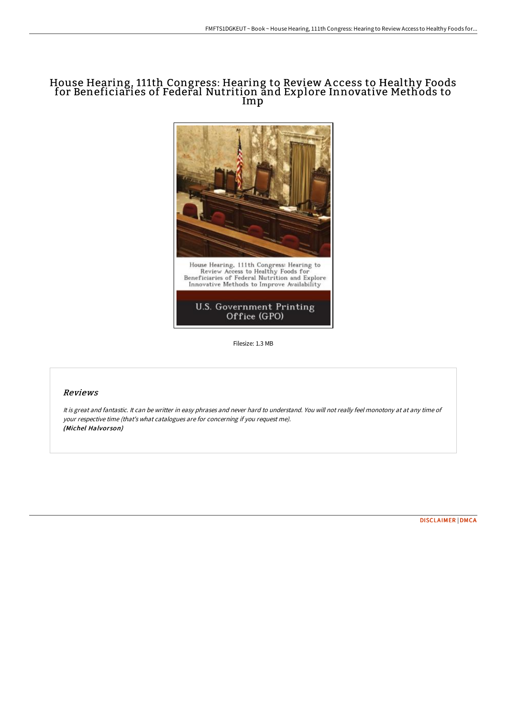## House Hearing, 111th Congress: Hearing to Review A ccess to Healthy Foods for Beneficiaries of Federal Nutrition and Explore Innovative Methods to Imp



Filesize: 1.3 MB

## Reviews

It is great and fantastic. It can be writter in easy phrases and never hard to understand. You will not really feel monotony at at any time of your respective time (that's what catalogues are for concerning if you request me). (Michel Halvorson)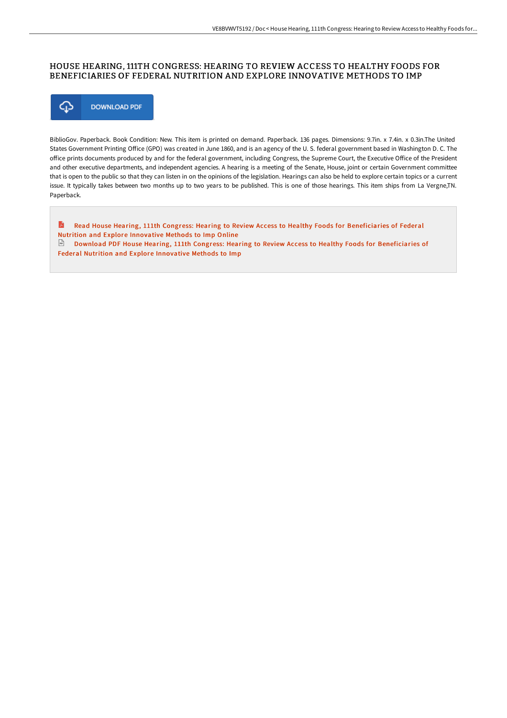## HOUSE HEARING, 111TH CONGRESS: HEARING TO REVIEW ACCESS TO HEALTHY FOODS FOR BENEFICIARIES OF FEDERAL NUTRITION AND EXPLORE INNOVATIVE METHODS TO IMP



BiblioGov. Paperback. Book Condition: New. This item is printed on demand. Paperback. 136 pages. Dimensions: 9.7in. x 7.4in. x 0.3in.The United States Government Printing Office (GPO) was created in June 1860, and is an agency of the U.S. federal government based in Washington D.C. The office prints documents produced by and for the federal government, including Congress, the Supreme Court, the Executive Office of the President and other executive departments, and independent agencies. A hearing is a meeting of the Senate, House, joint or certain Government committee that is open to the public so that they can listen in on the opinions of the legislation. Hearings can also be held to explore certain topics or a current issue. It typically takes between two months up to two years to be published. This is one of those hearings. This item ships from La Vergne,TN. Paperback.

E Read House Hearing, 111th Congress: Hearing to Review Access to Healthy Foods for [Beneficiaries](http://bookera.tech/house-hearing-111th-congress-hearing-to-review-a.html) of Federal Nutrition and Explore Innovative Methods to Imp Online Download PDF House Hearing, 111th Congress: Hearing to Review Access to Healthy Foods for [Beneficiaries](http://bookera.tech/house-hearing-111th-congress-hearing-to-review-a.html) of

Federal Nutrition and Explore Innovative Methods to Imp